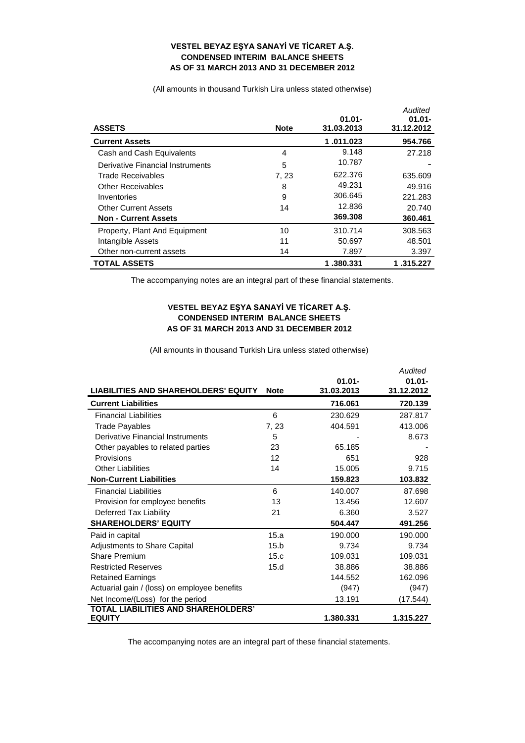## **VESTEL BEYAZ EŞYA SANAYİ VE TİCARET A.Ş. CONDENSED INTERIM BALANCE SHEETS AS OF 31 MARCH 2013 AND 31 DECEMBER 2012**

(All amounts in thousand Turkish Lira unless stated otherwise)

| <b>ASSETS</b>                    | <b>Note</b> | $01.01 -$<br>31.03.2013 | Audited<br>$01.01 -$<br>31.12.2012 |
|----------------------------------|-------------|-------------------------|------------------------------------|
| <b>Current Assets</b>            |             | 1.011.023               | 954.766                            |
| Cash and Cash Equivalents        | 4           | 9.148                   | 27.218                             |
| Derivative Financial Instruments | 5           | 10.787                  |                                    |
| Trade Receivables                | 7, 23       | 622.376                 | 635.609                            |
| <b>Other Receivables</b>         | 8           | 49.231                  | 49.916                             |
| Inventories                      | 9           | 306.645                 | 221.283                            |
| <b>Other Current Assets</b>      | 14          | 12.836                  | 20.740                             |
| <b>Non - Current Assets</b>      |             | 369,308                 | 360.461                            |
| Property, Plant And Equipment    | 10          | 310.714                 | 308.563                            |
| Intangible Assets                | 11          | 50.697                  | 48.501                             |
| Other non-current assets         | 14          | 7.897                   | 3.397                              |
| <b>TOTAL ASSETS</b>              |             | 1 .380.331              | 1.315.227                          |

The accompanying notes are an integral part of these financial statements.

## **VESTEL BEYAZ EŞYA SANAYİ VE TİCARET A.Ş. CONDENSED INTERIM BALANCE SHEETS AS OF 31 MARCH 2013 AND 31 DECEMBER 2012**

(All amounts in thousand Turkish Lira unless stated otherwise)

|                                              |             |                         | Audited                 |
|----------------------------------------------|-------------|-------------------------|-------------------------|
| <b>LIABILITIES AND SHAREHOLDERS' EQUITY</b>  | <b>Note</b> | $01.01 -$<br>31.03.2013 | $01.01 -$<br>31.12.2012 |
| <b>Current Liabilities</b>                   |             | 716.061                 | 720.139                 |
| <b>Financial Liabilities</b>                 | 6           | 230.629                 | 287.817                 |
| Trade Payables                               | 7, 23       | 404.591                 | 413.006                 |
| Derivative Financial Instruments             | 5           |                         | 8.673                   |
| Other payables to related parties            | 23          | 65.185                  |                         |
| Provisions                                   | 12          | 651                     | 928                     |
| <b>Other Liabilities</b>                     | 14          | 15.005                  | 9.715                   |
| <b>Non-Current Liabilities</b>               |             | 159.823                 | 103.832                 |
| <b>Financial Liabilities</b>                 | 6           | 140.007                 | 87.698                  |
| Provision for employee benefits              | 13          | 13.456                  | 12.607                  |
| Deferred Tax Liability                       | 21          | 6.360                   | 3.527                   |
| <b>SHAREHOLDERS' EQUITY</b>                  |             | 504.447                 | 491.256                 |
| Paid in capital                              | 15.a        | 190.000                 | 190.000                 |
| <b>Adjustments to Share Capital</b>          | 15.b        | 9.734                   | 9.734                   |
| Share Premium                                | 15.c        | 109.031                 | 109.031                 |
| <b>Restricted Reserves</b>                   | 15.d        | 38.886                  | 38.886                  |
| <b>Retained Earnings</b>                     |             | 144.552                 | 162.096                 |
| Actuarial gain / (loss) on employee benefits |             | (947)                   | (947)                   |
| Net Income/(Loss) for the period             |             | 13.191                  | (17.544)                |
| <b>TOTAL LIABILITIES AND SHAREHOLDERS'</b>   |             |                         |                         |
| <b>EQUITY</b>                                |             | 1.380.331               | 1.315.227               |

The accompanying notes are an integral part of these financial statements.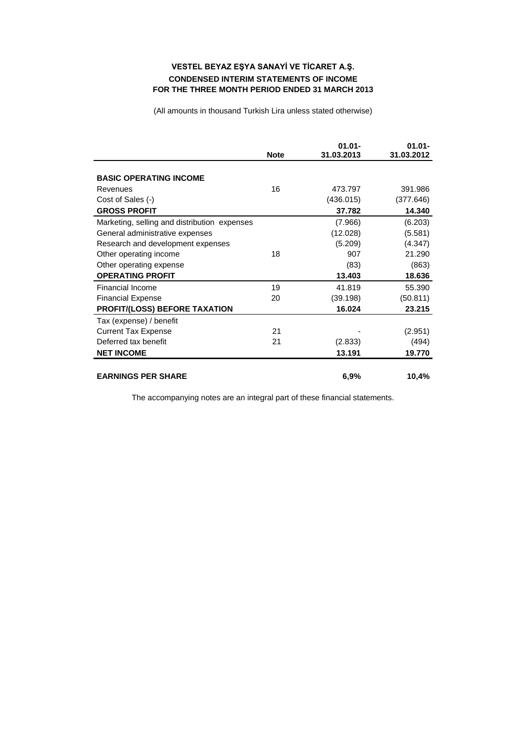## **VESTEL BEYAZ EŞYA SANAYİ VE TİCARET A.Ş. CONDENSED INTERIM STATEMENTS OF INCOME FOR THE THREE MONTH PERIOD ENDED 31 MARCH 2013**

(All amounts in thousand Turkish Lira unless stated otherwise)

|                                              | <b>Note</b> | $01.01 -$<br>31.03.2013 | $01.01 -$<br>31.03.2012 |
|----------------------------------------------|-------------|-------------------------|-------------------------|
| <b>BASIC OPERATING INCOME</b>                |             |                         |                         |
| Revenues                                     | 16          | 473.797                 | 391.986                 |
| Cost of Sales (-)                            |             | (436.015)               | (377.646)               |
| <b>GROSS PROFIT</b>                          |             | 37.782                  | 14.340                  |
| Marketing, selling and distribution expenses |             | (7.966)                 | (6.203)                 |
| General administrative expenses              |             | (12.028)                | (5.581)                 |
| Research and development expenses            |             | (5.209)                 | (4.347)                 |
| Other operating income                       | 18          | 907                     | 21.290                  |
| Other operating expense                      |             | (83)                    | (863)                   |
| <b>OPERATING PROFIT</b>                      |             | 13.403                  | 18.636                  |
| Financial Income                             | 19          | 41.819                  | 55.390                  |
| <b>Financial Expense</b>                     | 20          | (39.198)                | (50.811)                |
| <b>PROFIT/(LOSS) BEFORE TAXATION</b>         |             | 16.024                  | 23.215                  |
| Tax (expense) / benefit                      |             |                         |                         |
| <b>Current Tax Expense</b>                   | 21          |                         | (2.951)                 |
| Deferred tax benefit                         | 21          | (2.833)                 | (494)                   |
| <b>NET INCOME</b>                            |             | 13.191                  | 19.770                  |
| <b>EARNINGS PER SHARE</b>                    |             | 6,9%                    | 10,4%                   |

The accompanying notes are an integral part of these financial statements.